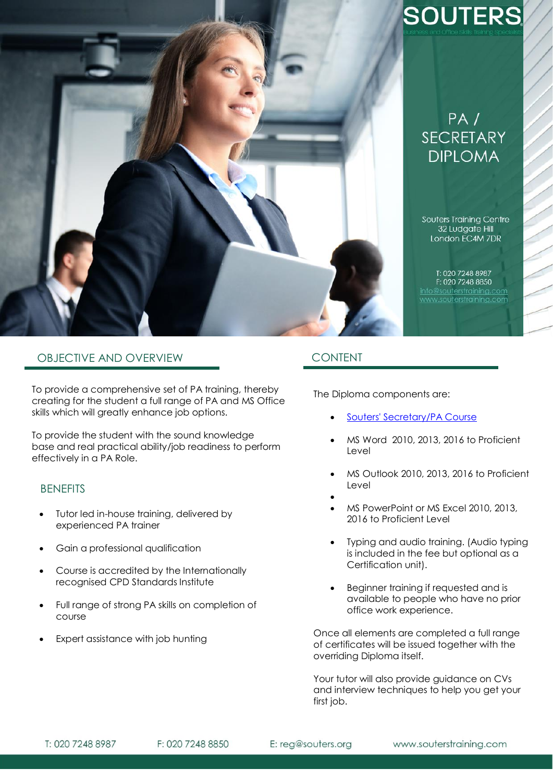

# **SOUTERS**

# $PA/$ **SECRETARY DIPLOMA**

Souters Training Centre 32 Ludgate Hill London EC4M 7DR

T: 020 7248 8987 F: 020 7248 8850 www.souterstraining.com

# OBJECTIVE AND OVERVIEW

To provide a comprehensive set of PA training, thereby creating for the student a full range of PA and MS Office skills which will greatly enhance job options.

To provide the student with the sound knowledge base and real practical ability/job readiness to perform effectively in a PA Role.

## **BENEFITS**

- Tutor led in-house training, delivered by experienced PA trainer
- Gain a professional qualification
- Course is accredited by the Internationally recognised CPD Standards Institute
- Full range of strong PA skills on completion of course
- Expert assistance with job hunting

# CONTENT

The Diploma components are:

- [Souters' Secretary/PA Course](https://www.souterstraining.com/Secretary_and_PA_Courses)
- MS Word 2010, 2013, 2016 to Proficient Level
- MS Outlook 2010, 2013, 2016 to Proficient Level
	-

 $\bullet$ 

- MS PowerPoint or MS Excel 2010, 2013, 2016 to Proficient Level
- Typing and audio training. (Audio typing is included in the fee but optional as a Certification unit).
- Beginner training if requested and is available to people who have no prior office work experience.

Once all elements are completed a full range of certificates will be issued together with the overriding Diploma itself.

Your tutor will also provide guidance on CVs and interview techniques to help you get your first job.

F: 020 7248 8850

E: reg@souters.org